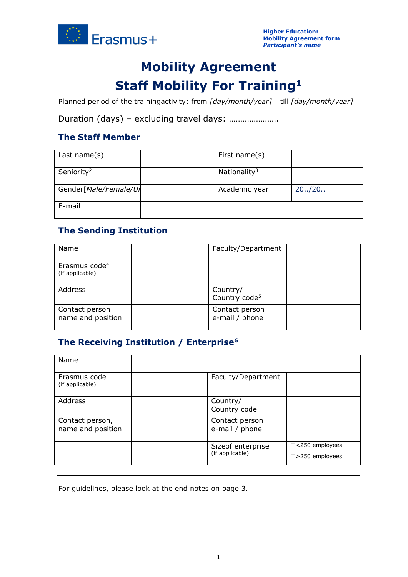

# **Mobility Agreement Staff Mobility For Training<sup>1</sup>**

Planned period of the trainingactivity: from *[day/month/year]* till *[day/month/year]*

Duration (days) – excluding travel days: ………………….

### **The Staff Member**

| Last name $(s)$        | First name(s)            |         |
|------------------------|--------------------------|---------|
| Seniority <sup>2</sup> | Nationality <sup>3</sup> |         |
| Gender[Male/Female/Ur  | Academic year            | 20.720. |
| E-mail                 |                          |         |

### **The Sending Institution**

| Name                                         | Faculty/Department                    |  |
|----------------------------------------------|---------------------------------------|--|
| Erasmus code <sup>4</sup><br>(if applicable) |                                       |  |
| Address                                      | Country/<br>Country code <sup>5</sup> |  |
| Contact person<br>name and position          | Contact person<br>e-mail / phone      |  |

## **The Receiving Institution / Enterprise<sup>6</sup>**

| Name                                 |                                      |                                                   |
|--------------------------------------|--------------------------------------|---------------------------------------------------|
| Erasmus code<br>(if applicable)      | Faculty/Department                   |                                                   |
| Address                              | Country/<br>Country code             |                                                   |
| Contact person,<br>name and position | Contact person<br>e-mail / phone     |                                                   |
|                                      | Sizeof enterprise<br>(if applicable) | $\Box$ <250 employees<br>$\square$ >250 employees |

For guidelines, please look at the end notes on page 3.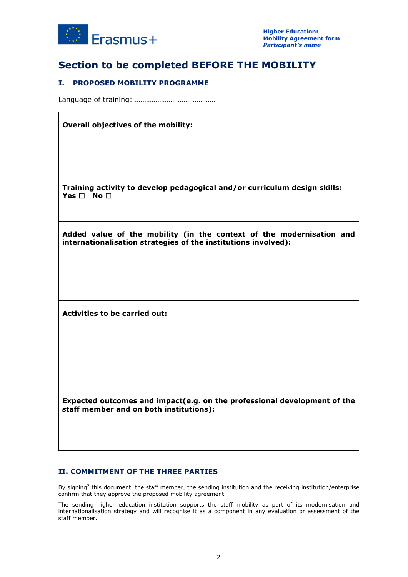

## **Section to be completed BEFORE THE MOBILITY**

### **I. PROPOSED MOBILITY PROGRAMME**

Language of training: ………………………………………

#### **Overall objectives of the mobility:**

**Training activity to develop pedagogical and/or curriculum design skills: Yes** ☐ **No** ☐

**Added value of the mobility (in the context of the modernisation and internationalisation strategies of the institutions involved):**

**Activities to be carried out:**

**Expected outcomes and impact(e.g. on the professional development of the staff member and on both institutions):**

#### **II. COMMITMENT OF THE THREE PARTIES**

By signing**<sup>7</sup>** this document, the staff member, the sending institution and the receiving institution/enterprise confirm that they approve the proposed mobility agreement.

The sending higher education institution supports the staff mobility as part of its modernisation and internationalisation strategy and will recognise it as a component in any evaluation or assessment of the staff member.